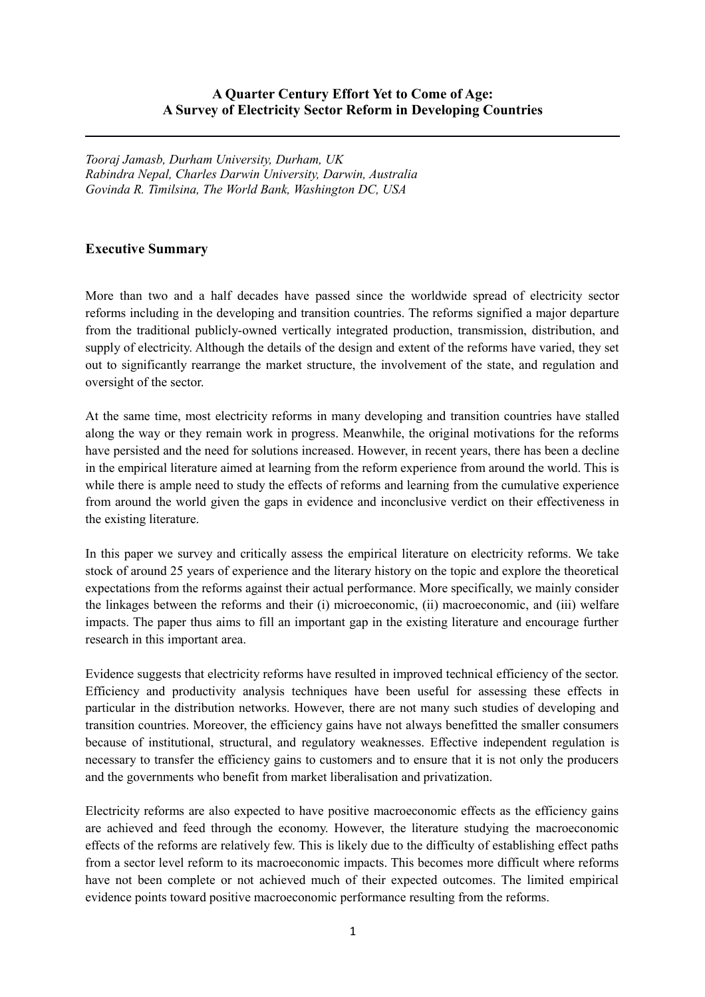## **A Quarter Century Effort Yet to Come of Age: A Survey of Electricity Sector Reform in Developing Countries**

*Tooraj Jamasb, Durham University, Durham, UK Rabindra Nepal, Charles Darwin University, Darwin, Australia Govinda R. Timilsina, The World Bank, Washington DC, USA*

## **Executive Summary**

More than two and a half decades have passed since the worldwide spread of electricity sector reforms including in the developing and transition countries. The reforms signified a major departure from the traditional publicly-owned vertically integrated production, transmission, distribution, and supply of electricity. Although the details of the design and extent of the reforms have varied, they set out to significantly rearrange the market structure, the involvement of the state, and regulation and oversight of the sector.

At the same time, most electricity reforms in many developing and transition countries have stalled along the way or they remain work in progress. Meanwhile, the original motivations for the reforms have persisted and the need for solutions increased. However, in recent years, there has been a decline in the empirical literature aimed at learning from the reform experience from around the world. This is while there is ample need to study the effects of reforms and learning from the cumulative experience from around the world given the gaps in evidence and inconclusive verdict on their effectiveness in the existing literature.

In this paper we survey and critically assess the empirical literature on electricity reforms. We take stock of around 25 years of experience and the literary history on the topic and explore the theoretical expectations from the reforms against their actual performance. More specifically, we mainly consider the linkages between the reforms and their (i) microeconomic, (ii) macroeconomic, and (iii) welfare impacts. The paper thus aims to fill an important gap in the existing literature and encourage further research in this important area.

Evidence suggests that electricity reforms have resulted in improved technical efficiency of the sector. Efficiency and productivity analysis techniques have been useful for assessing these effects in particular in the distribution networks. However, there are not many such studies of developing and transition countries. Moreover, the efficiency gains have not always benefitted the smaller consumers because of institutional, structural, and regulatory weaknesses. Effective independent regulation is necessary to transfer the efficiency gains to customers and to ensure that it is not only the producers and the governments who benefit from market liberalisation and privatization.

Electricity reforms are also expected to have positive macroeconomic effects as the efficiency gains are achieved and feed through the economy. However, the literature studying the macroeconomic effects of the reforms are relatively few. This is likely due to the difficulty of establishing effect paths from a sector level reform to its macroeconomic impacts. This becomes more difficult where reforms have not been complete or not achieved much of their expected outcomes. The limited empirical evidence points toward positive macroeconomic performance resulting from the reforms.